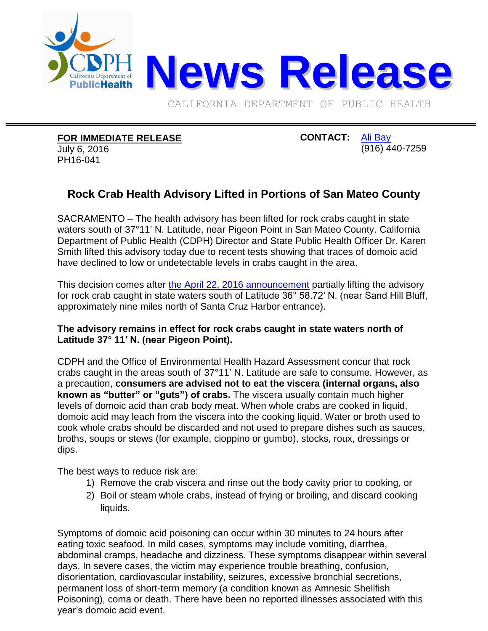

CALIFORNIA DEPARTMENT OF PUBLIC HEALTH

## **FOR IMMEDIATE RELEASE**

July 6, 2016 PH16-041

## **CONTACT:** [Ali Bay](mailto:Ali.Bay@cdph.ca.gov?subject=News%20release) (916) 440-7259

## **Rock Crab Health Advisory Lifted in Portions of San Mateo County**

SACRAMENTO – The health advisory has been lifted for rock crabs caught in state waters south of 37°11' N. Latitude, near Pigeon Point in San Mateo County. California Department of Public Health (CDPH) Director and State Public Health Officer Dr. Karen Smith lifted this advisory today due to recent tests showing that traces of domoic acid have declined to low or undetectable levels in crabs caught in the area.

This decision comes after [the April 22, 2016 announcement](http://www.cdph.ca.gov/Pages/NR16-022.aspx) partially lifting the advisory for rock crab caught in state waters south of Latitude 36° 58.72′ N. (near Sand Hill Bluff, approximately nine miles north of Santa Cruz Harbor entrance).

## **The advisory remains in effect for rock crabs caught in state waters north of Latitude 37° 11′ N. (near Pigeon Point).**

CDPH and the Office of Environmental Health Hazard Assessment concur that rock crabs caught in the areas south of 37°11' N. Latitude are safe to consume. However, as a precaution, **consumers are advised not to eat the viscera (internal organs, also known as "butter" or "guts") of crabs.** The viscera usually contain much higher levels of domoic acid than crab body meat. When whole crabs are cooked in liquid, domoic acid may leach from the viscera into the cooking liquid. Water or broth used to cook whole crabs should be discarded and not used to prepare dishes such as sauces, broths, soups or stews (for example, cioppino or gumbo), stocks, roux, dressings or dips.

The best ways to reduce risk are:

- 1) Remove the crab viscera and rinse out the body cavity prior to cooking, or
- 2) Boil or steam whole crabs, instead of frying or broiling, and discard cooking liquids.

Symptoms of domoic acid poisoning can occur within 30 minutes to 24 hours after eating toxic seafood. In mild cases, symptoms may include vomiting, diarrhea, abdominal cramps, headache and dizziness. These symptoms disappear within several days. In severe cases, the victim may experience trouble breathing, confusion, disorientation, cardiovascular instability, seizures, excessive bronchial secretions, permanent loss of short-term memory (a condition known as Amnesic Shellfish Poisoning), coma or death. There have been no reported illnesses associated with this year's domoic acid event.